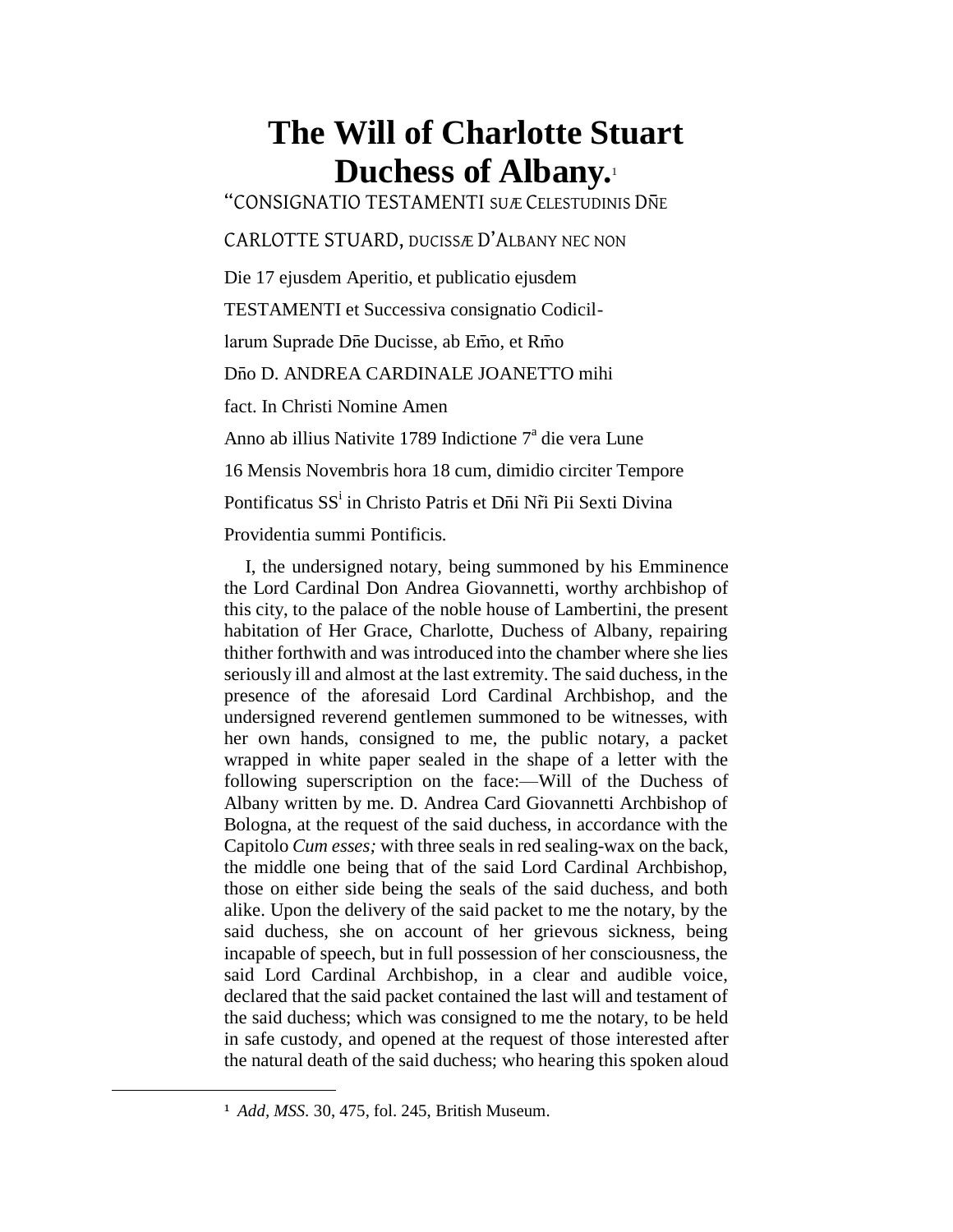## **The Will of Charlotte Stuart Duchess of Albany.**<sup>1</sup>

"CONSIGNATIO TESTAMENTI SUÆ CELESTUDINIS DNE

CARLOTTE STUARD, DUCISSÆ D'ALBANY NEC NON

Die 17 ejusdem Aperitio, et publicatio ejusdem

TESTAMENTI et Successiva consignatio Codicil-

larum Suprade Dñe Ducisse, ab Emo, et Rmo

D<sub>n</sub>o D. ANDREA CARDINALE JOANETTO mihi

fact. In Christi Nomine Amen

Anno ab illius Nativite 1789 Indictione 7<sup>ª</sup> die vera Lune

16 Mensis Novembris hora 18 cum, dimidio circiter Tempore

Pontificatus SS<sup>i</sup> in Christo Patris et D<del>i</del>i N<mark>r̃i Pii Sexti Divina</mark>

Providentia summi Pontificis.

I, the undersigned notary, being summoned by his Emminence the Lord Cardinal Don Andrea Giovannetti, worthy archbishop of this city, to the palace of the noble house of Lambertini, the present habitation of Her Grace, Charlotte, Duchess of Albany, repairing thither forthwith and was introduced into the chamber where she lies seriously ill and almost at the last extremity. The said duchess, in the presence of the aforesaid Lord Cardinal Archbishop, and the undersigned reverend gentlemen summoned to be witnesses, with her own hands, consigned to me, the public notary, a packet wrapped in white paper sealed in the shape of a letter with the following superscription on the face:—Will of the Duchess of Albany written by me. D. Andrea Card Giovannetti Archbishop of Bologna, at the request of the said duchess, in accordance with the Capitolo *Cum esses;* with three seals in red sealing-wax on the back, the middle one being that of the said Lord Cardinal Archbishop, those on either side being the seals of the said duchess, and both alike. Upon the delivery of the said packet to me the notary, by the said duchess, she on account of her grievous sickness, being incapable of speech, but in full possession of her consciousness, the said Lord Cardinal Archbishop, in a clear and audible voice, declared that the said packet contained the last will and testament of the said duchess; which was consigned to me the notary, to be held in safe custody, and opened at the request of those interested after the natural death of the said duchess; who hearing this spoken aloud

 $\overline{a}$ 

<sup>1</sup> *Add, MSS.* 30, 475, fol. 245, British Museum.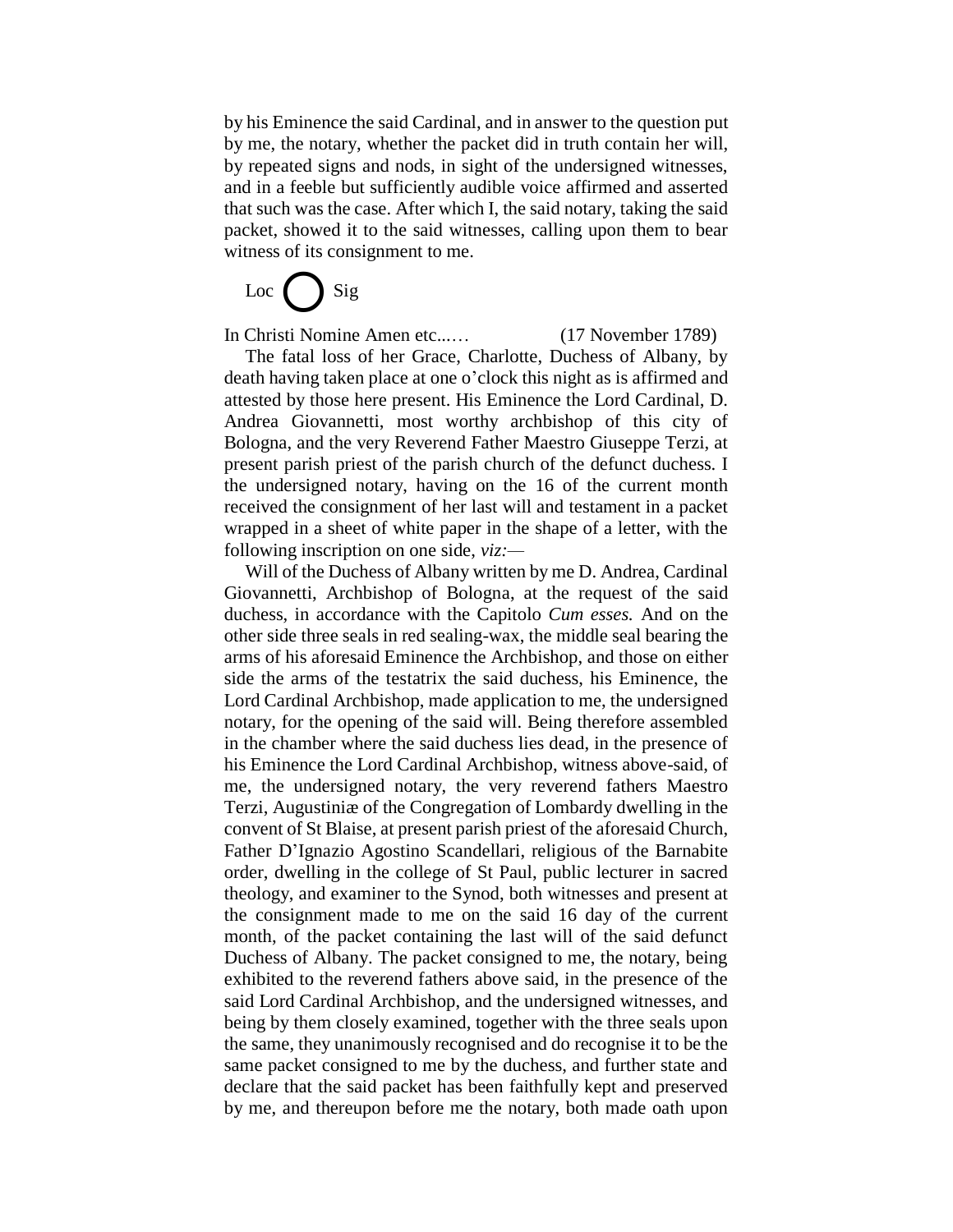by his Eminence the said Cardinal, and in answer to the question put by me, the notary, whether the packet did in truth contain her will, by repeated signs and nods, in sight of the undersigned witnesses, and in a feeble but sufficiently audible voice affirmed and asserted that such was the case. After which I, the said notary, taking the said packet, showed it to the said witnesses, calling upon them to bear witness of its consignment to me.

Loc $\left\{ \quad \right\}$  Sig

In Christi Nomine Amen etc...… (17 November 1789)

The fatal loss of her Grace, Charlotte, Duchess of Albany, by death having taken place at one o'clock this night as is affirmed and attested by those here present. His Eminence the Lord Cardinal, D. Andrea Giovannetti, most worthy archbishop of this city of Bologna, and the very Reverend Father Maestro Giuseppe Terzi, at present parish priest of the parish church of the defunct duchess. I the undersigned notary, having on the 16 of the current month received the consignment of her last will and testament in a packet wrapped in a sheet of white paper in the shape of a letter, with the following inscription on one side, *viz:—*

Will of the Duchess of Albany written by me D. Andrea, Cardinal Giovannetti, Archbishop of Bologna, at the request of the said duchess, in accordance with the Capitolo *Cum esses.* And on the other side three seals in red sealing-wax, the middle seal bearing the arms of his aforesaid Eminence the Archbishop, and those on either side the arms of the testatrix the said duchess, his Eminence, the Lord Cardinal Archbishop, made application to me, the undersigned notary, for the opening of the said will. Being therefore assembled in the chamber where the said duchess lies dead, in the presence of his Eminence the Lord Cardinal Archbishop, witness above-said, of me, the undersigned notary, the very reverend fathers Maestro Terzi, Augustiniæ of the Congregation of Lombardy dwelling in the convent of St Blaise, at present parish priest of the aforesaid Church, Father D'Ignazio Agostino Scandellari, religious of the Barnabite order, dwelling in the college of St Paul, public lecturer in sacred theology, and examiner to the Synod, both witnesses and present at the consignment made to me on the said 16 day of the current month, of the packet containing the last will of the said defunct Duchess of Albany. The packet consigned to me, the notary, being exhibited to the reverend fathers above said, in the presence of the said Lord Cardinal Archbishop, and the undersigned witnesses, and being by them closely examined, together with the three seals upon the same, they unanimously recognised and do recognise it to be the same packet consigned to me by the duchess, and further state and declare that the said packet has been faithfully kept and preserved by me, and thereupon before me the notary, both made oath upon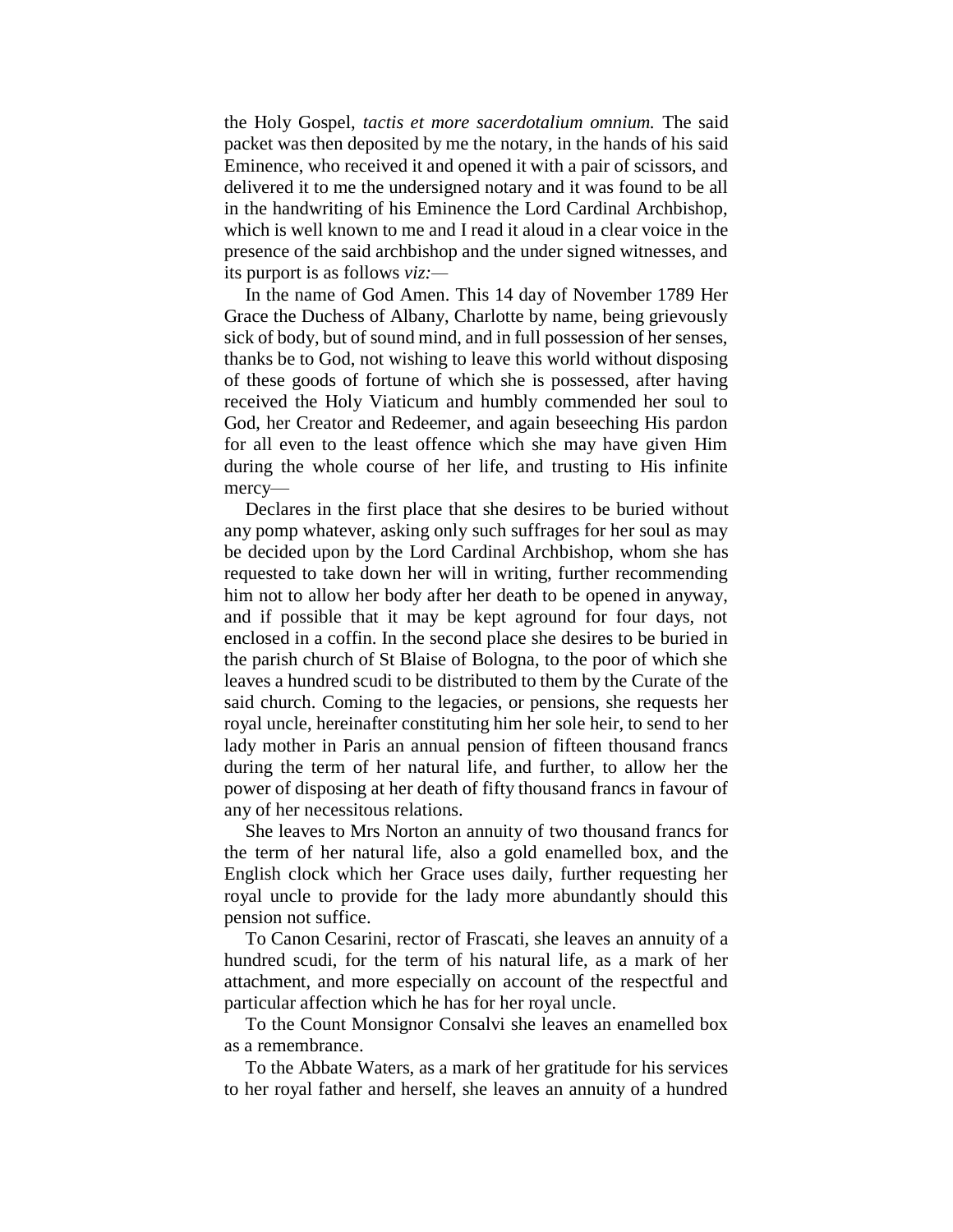the Holy Gospel, *tactis et more sacerdotalium omnium.* The said packet was then deposited by me the notary, in the hands of his said Eminence, who received it and opened it with a pair of scissors, and delivered it to me the undersigned notary and it was found to be all in the handwriting of his Eminence the Lord Cardinal Archbishop, which is well known to me and I read it aloud in a clear voice in the presence of the said archbishop and the under signed witnesses, and its purport is as follows *viz:—*

In the name of God Amen. This 14 day of November 1789 Her Grace the Duchess of Albany, Charlotte by name, being grievously sick of body, but of sound mind, and in full possession of her senses, thanks be to God, not wishing to leave this world without disposing of these goods of fortune of which she is possessed, after having received the Holy Viaticum and humbly commended her soul to God, her Creator and Redeemer, and again beseeching His pardon for all even to the least offence which she may have given Him during the whole course of her life, and trusting to His infinite mercy—

Declares in the first place that she desires to be buried without any pomp whatever, asking only such suffrages for her soul as may be decided upon by the Lord Cardinal Archbishop, whom she has requested to take down her will in writing, further recommending him not to allow her body after her death to be opened in anyway, and if possible that it may be kept aground for four days, not enclosed in a coffin. In the second place she desires to be buried in the parish church of St Blaise of Bologna, to the poor of which she leaves a hundred scudi to be distributed to them by the Curate of the said church. Coming to the legacies, or pensions, she requests her royal uncle, hereinafter constituting him her sole heir, to send to her lady mother in Paris an annual pension of fifteen thousand francs during the term of her natural life, and further, to allow her the power of disposing at her death of fifty thousand francs in favour of any of her necessitous relations.

She leaves to Mrs Norton an annuity of two thousand francs for the term of her natural life, also a gold enamelled box, and the English clock which her Grace uses daily, further requesting her royal uncle to provide for the lady more abundantly should this pension not suffice.

To Canon Cesarini, rector of Frascati, she leaves an annuity of a hundred scudi, for the term of his natural life, as a mark of her attachment, and more especially on account of the respectful and particular affection which he has for her royal uncle.

To the Count Monsignor Consalvi she leaves an enamelled box as a remembrance.

To the Abbate Waters, as a mark of her gratitude for his services to her royal father and herself, she leaves an annuity of a hundred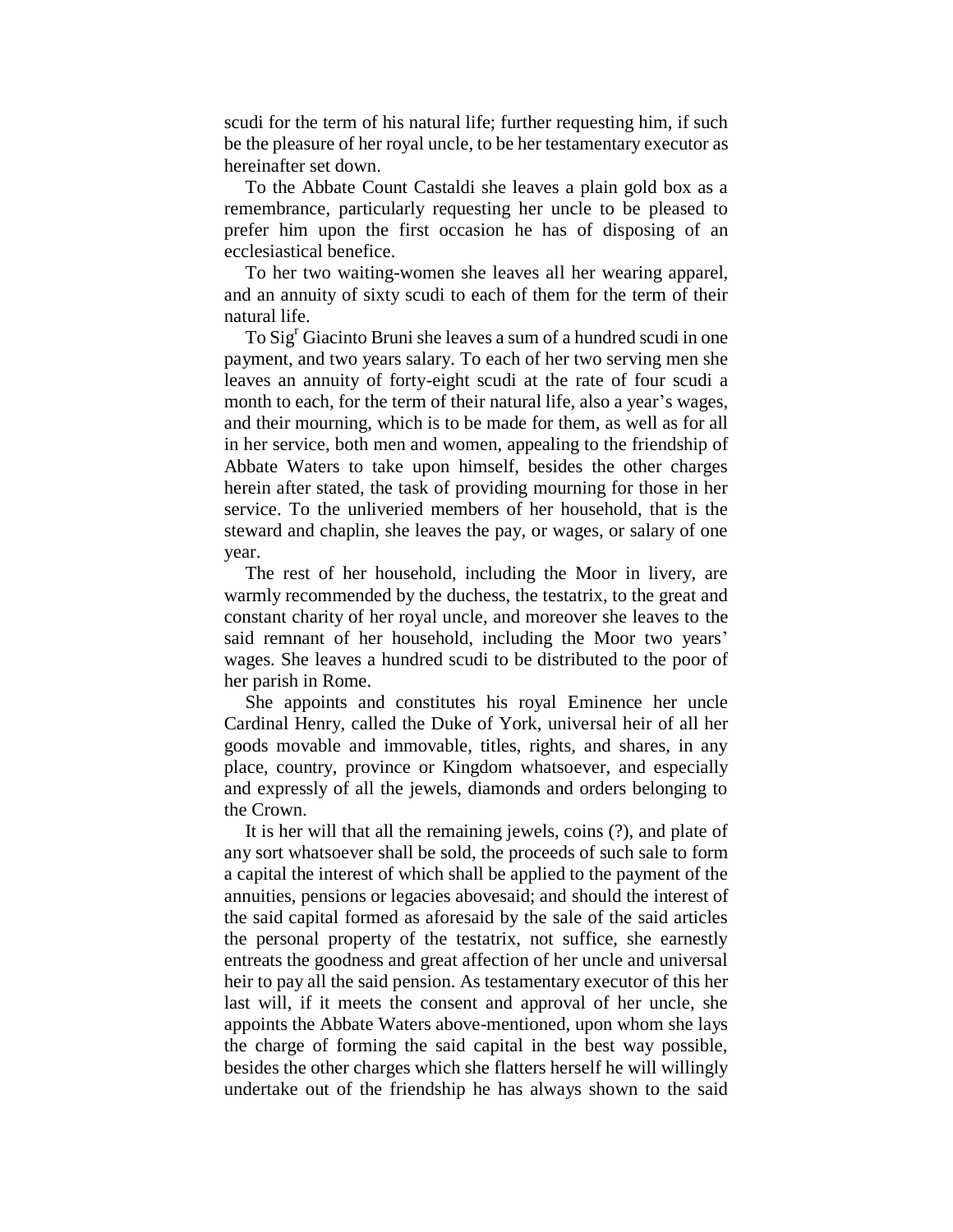scudi for the term of his natural life; further requesting him, if such be the pleasure of her royal uncle, to be her testamentary executor as hereinafter set down.

To the Abbate Count Castaldi she leaves a plain gold box as a remembrance, particularly requesting her uncle to be pleased to prefer him upon the first occasion he has of disposing of an ecclesiastical benefice.

To her two waiting-women she leaves all her wearing apparel, and an annuity of sixty scudi to each of them for the term of their natural life.

To Sig<sup>r</sup> Giacinto Bruni she leaves a sum of a hundred scudi in one payment, and two years salary. To each of her two serving men she leaves an annuity of forty-eight scudi at the rate of four scudi a month to each, for the term of their natural life, also a year's wages, and their mourning, which is to be made for them, as well as for all in her service, both men and women, appealing to the friendship of Abbate Waters to take upon himself, besides the other charges herein after stated, the task of providing mourning for those in her service. To the unliveried members of her household, that is the steward and chaplin, she leaves the pay, or wages, or salary of one year.

The rest of her household, including the Moor in livery, are warmly recommended by the duchess, the testatrix, to the great and constant charity of her royal uncle, and moreover she leaves to the said remnant of her household, including the Moor two years' wages. She leaves a hundred scudi to be distributed to the poor of her parish in Rome.

She appoints and constitutes his royal Eminence her uncle Cardinal Henry, called the Duke of York, universal heir of all her goods movable and immovable, titles, rights, and shares, in any place, country, province or Kingdom whatsoever, and especially and expressly of all the jewels, diamonds and orders belonging to the Crown.

It is her will that all the remaining jewels, coins (?), and plate of any sort whatsoever shall be sold, the proceeds of such sale to form a capital the interest of which shall be applied to the payment of the annuities, pensions or legacies abovesaid; and should the interest of the said capital formed as aforesaid by the sale of the said articles the personal property of the testatrix, not suffice, she earnestly entreats the goodness and great affection of her uncle and universal heir to pay all the said pension. As testamentary executor of this her last will, if it meets the consent and approval of her uncle, she appoints the Abbate Waters above-mentioned, upon whom she lays the charge of forming the said capital in the best way possible, besides the other charges which she flatters herself he will willingly undertake out of the friendship he has always shown to the said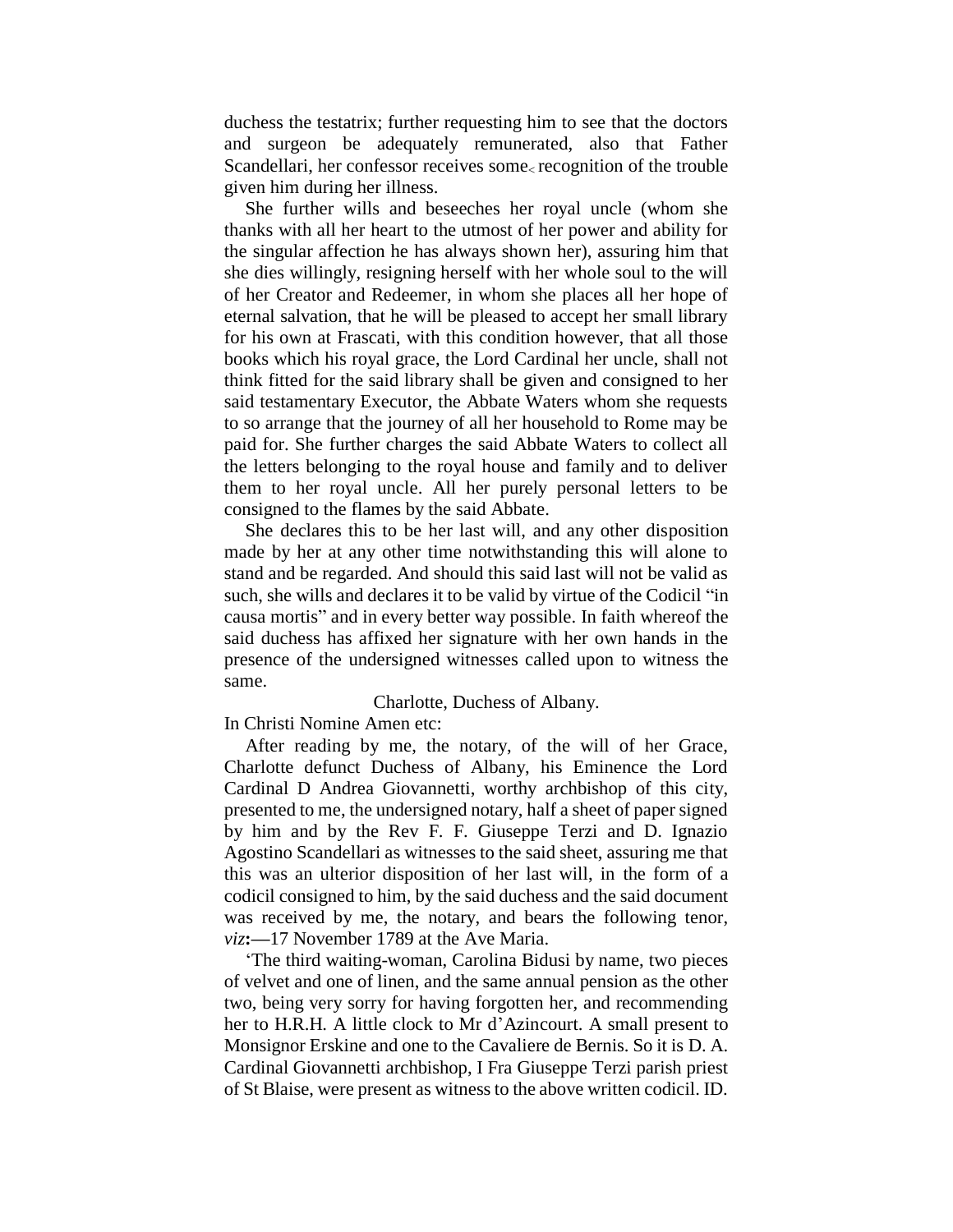duchess the testatrix; further requesting him to see that the doctors and surgeon be adequately remunerated, also that Father Scandellari, her confessor receives some recognition of the trouble given him during her illness.

She further wills and beseeches her royal uncle (whom she thanks with all her heart to the utmost of her power and ability for the singular affection he has always shown her), assuring him that she dies willingly, resigning herself with her whole soul to the will of her Creator and Redeemer, in whom she places all her hope of eternal salvation, that he will be pleased to accept her small library for his own at Frascati, with this condition however, that all those books which his royal grace, the Lord Cardinal her uncle, shall not think fitted for the said library shall be given and consigned to her said testamentary Executor, the Abbate Waters whom she requests to so arrange that the journey of all her household to Rome may be paid for. She further charges the said Abbate Waters to collect all the letters belonging to the royal house and family and to deliver them to her royal uncle. All her purely personal letters to be consigned to the flames by the said Abbate.

She declares this to be her last will, and any other disposition made by her at any other time notwithstanding this will alone to stand and be regarded. And should this said last will not be valid as such, she wills and declares it to be valid by virtue of the Codicil "in causa mortis" and in every better way possible. In faith whereof the said duchess has affixed her signature with her own hands in the presence of the undersigned witnesses called upon to witness the same.

## Charlotte, Duchess of Albany.

In Christi Nomine Amen etc:

After reading by me, the notary, of the will of her Grace, Charlotte defunct Duchess of Albany, his Eminence the Lord Cardinal D Andrea Giovannetti, worthy archbishop of this city, presented to me, the undersigned notary, half a sheet of paper signed by him and by the Rev F. F. Giuseppe Terzi and D. Ignazio Agostino Scandellari as witnesses to the said sheet, assuring me that this was an ulterior disposition of her last will, in the form of a codicil consigned to him, by the said duchess and the said document was received by me, the notary, and bears the following tenor, *viz***:—**17 November 1789 at the Ave Maria.

'The third waiting-woman, Carolina Bidusi by name, two pieces of velvet and one of linen, and the same annual pension as the other two, being very sorry for having forgotten her, and recommending her to H.R.H. A little clock to Mr d'Azincourt. A small present to Monsignor Erskine and one to the Cavaliere de Bernis. So it is D. A. Cardinal Giovannetti archbishop, I Fra Giuseppe Terzi parish priest of St Blaise, were present as witness to the above written codicil. ID.